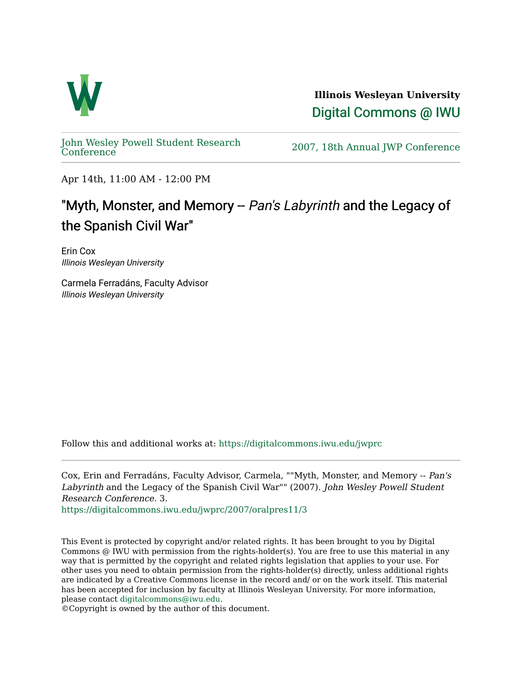

**Illinois Wesleyan University**  [Digital Commons @ IWU](https://digitalcommons.iwu.edu/) 

[John Wesley Powell Student Research](https://digitalcommons.iwu.edu/jwprc) 

2007, 18th Annual JWP [Conference](https://digitalcommons.iwu.edu/jwprc)

Apr 14th, 11:00 AM - 12:00 PM

## "Myth, Monster, and Memory -- Pan's Labyrinth and the Legacy of the Spanish Civil War"

Erin Cox Illinois Wesleyan University

Carmela Ferradáns, Faculty Advisor Illinois Wesleyan University

Follow this and additional works at: [https://digitalcommons.iwu.edu/jwprc](https://digitalcommons.iwu.edu/jwprc?utm_source=digitalcommons.iwu.edu%2Fjwprc%2F2007%2Foralpres11%2F3&utm_medium=PDF&utm_campaign=PDFCoverPages) 

Cox, Erin and Ferradáns, Faculty Advisor, Carmela, ""Myth, Monster, and Memory -- Pan's Labyrinth and the Legacy of the Spanish Civil War"" (2007). John Wesley Powell Student Research Conference. 3.

[https://digitalcommons.iwu.edu/jwprc/2007/oralpres11/3](https://digitalcommons.iwu.edu/jwprc/2007/oralpres11/3?utm_source=digitalcommons.iwu.edu%2Fjwprc%2F2007%2Foralpres11%2F3&utm_medium=PDF&utm_campaign=PDFCoverPages) 

This Event is protected by copyright and/or related rights. It has been brought to you by Digital Commons @ IWU with permission from the rights-holder(s). You are free to use this material in any way that is permitted by the copyright and related rights legislation that applies to your use. For other uses you need to obtain permission from the rights-holder(s) directly, unless additional rights are indicated by a Creative Commons license in the record and/ or on the work itself. This material has been accepted for inclusion by faculty at Illinois Wesleyan University. For more information, please contact [digitalcommons@iwu.edu.](mailto:digitalcommons@iwu.edu)

©Copyright is owned by the author of this document.